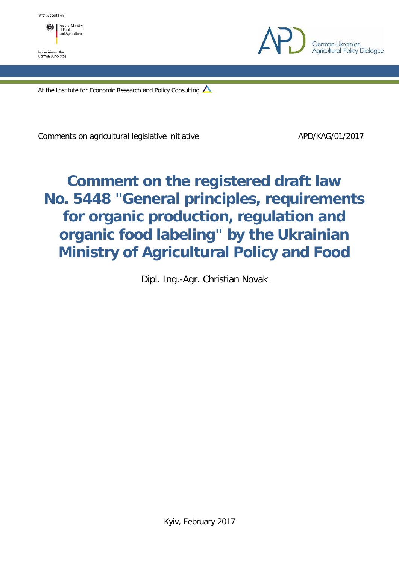

by decision of the<br>German Bundestag



At the Institute for Economic Research and Policy Consulting

Comments on agricultural legislative initiative APD/KAG/01/2017

# **Comment on the registered draft law No. 5448 "General principles, requirements for organic production, regulation and organic food labeling" by the Ukrainian Ministry of Agricultural Policy and Food**

Dipl. Ing.-Agr. Christian Novak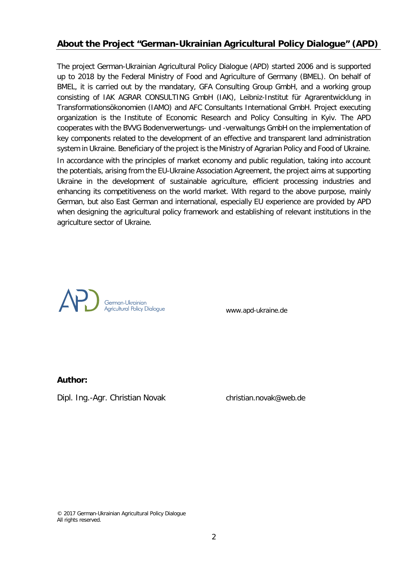# **About the Project "German-Ukrainian Agricultural Policy Dialogue" (APD)**

The project German-Ukrainian Agricultural Policy Dialogue (APD) started 2006 and is supported up to 2018 by the Federal Ministry of Food and Agriculture of Germany (BMEL). On behalf of BMEL, it is carried out by the mandatary, GFA Consulting Group GmbH, and a working group consisting of IAK AGRAR CONSULTING GmbH (IAK), Leibniz-Institut für Agrarentwicklung in Transformationsökonomien (IAMO) and AFC Consultants International GmbH. Project executing organization is the Institute of Economic Research and Policy Consulting in Kyiv. The APD cooperates with the BVVG Bodenverwertungs- und -verwaltungs GmbH on the implementation of key components related to the development of an effective and transparent land administration system in Ukraine. Beneficiary of the project is the Ministry of Agrarian Policy and Food of Ukraine.

In accordance with the principles of market economy and public regulation, taking into account the potentials, arising from the EU-Ukraine Association Agreement, the project aims at supporting Ukraine in the development of sustainable agriculture, efficient processing industries and enhancing its competitiveness on the world market. With regard to the above purpose, mainly German, but also East German and international, especially EU experience are provided by APD when designing the agricultural policy framework and establishing of relevant institutions in the agriculture sector of Ukraine.



www.apd-ukraine.de

## **Author:**

Dipl. Ing.-Agr. Christian Novak christian.novak@web.de

<sup>© 2017</sup> German-Ukrainian Agricultural Policy Dialogue All rights reserved.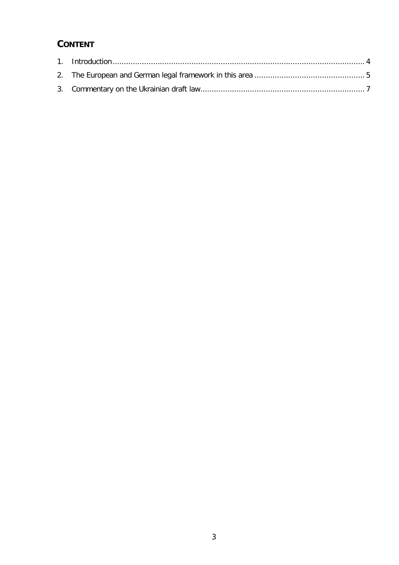# **CONTENT**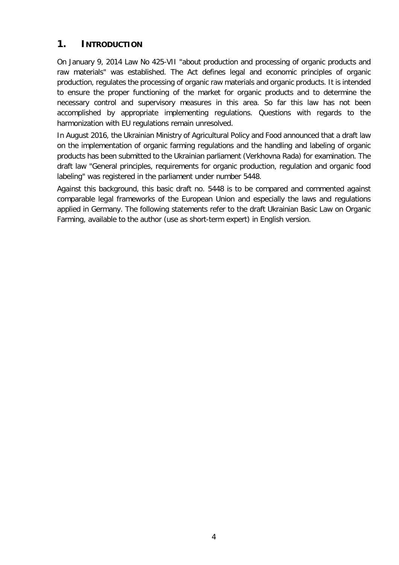# <span id="page-3-0"></span>**1. INTRODUCTION**

On January 9, 2014 Law No 425-VII "about production and processing of organic products and raw materials" was established. The Act defines legal and economic principles of organic production, regulates the processing of organic raw materials and organic products. It is intended to ensure the proper functioning of the market for organic products and to determine the necessary control and supervisory measures in this area. So far this law has not been accomplished by appropriate implementing regulations. Questions with regards to the harmonization with EU regulations remain unresolved.

In August 2016, the Ukrainian Ministry of Agricultural Policy and Food announced that a draft law on the implementation of organic farming regulations and the handling and labeling of organic products has been submitted to the Ukrainian parliament (Verkhovna Rada) for examination. The draft law "General principles, requirements for organic production, regulation and organic food labeling" was registered in the parliament under number 5448.

Against this background, this basic draft no. 5448 is to be compared and commented against comparable legal frameworks of the European Union and especially the laws and regulations applied in Germany. The following statements refer to the draft Ukrainian Basic Law on Organic Farming, available to the author (use as short-term expert) in English version.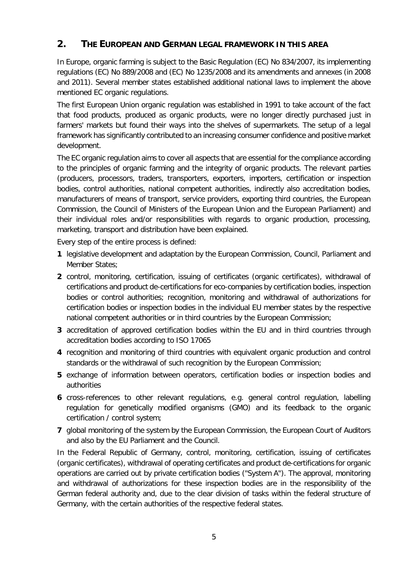# <span id="page-4-0"></span>**2. THE EUROPEAN AND GERMAN LEGAL FRAMEWORK IN THIS AREA**

In Europe, organic farming is subject to the Basic Regulation (EC) No 834/2007, its implementing regulations (EC) No 889/2008 and (EC) No 1235/2008 and its amendments and annexes (in 2008 and 2011). Several member states established additional national laws to implement the above mentioned EC organic regulations.

The first European Union organic regulation was established in 1991 to take account of the fact that food products, produced as organic products, were no longer directly purchased just in farmers' markets but found their ways into the shelves of supermarkets. The setup of a legal framework has significantly contributed to an increasing consumer confidence and positive market development.

The EC organic regulation aims to cover all aspects that are essential for the compliance according to the principles of organic farming and the integrity of organic products. The relevant parties (producers, processors, traders, transporters, exporters, importers, certification or inspection bodies, control authorities, national competent authorities, indirectly also accreditation bodies, manufacturers of means of transport, service providers, exporting third countries, the European Commission, the Council of Ministers of the European Union and the European Parliament) and their individual roles and/or responsibilities with regards to organic production, processing, marketing, transport and distribution have been explained.

Every step of the entire process is defined:

- **1** legislative development and adaptation by the European Commission, Council, Parliament and Member States;
- **2** control, monitoring, certification, issuing of certificates (organic certificates), withdrawal of certifications and product de-certifications for eco-companies by certification bodies, inspection bodies or control authorities; recognition, monitoring and withdrawal of authorizations for certification bodies or inspection bodies in the individual EU member states by the respective national competent authorities or in third countries by the European Commission;
- **3** accreditation of approved certification bodies within the EU and in third countries through accreditation bodies according to ISO 17065
- **4** recognition and monitoring of third countries with equivalent organic production and control standards or the withdrawal of such recognition by the European Commission;
- **5** exchange of information between operators, certification bodies or inspection bodies and authorities
- **6** cross-references to other relevant regulations, e.g. general control regulation, labelling regulation for genetically modified organisms (GMO) and its feedback to the organic certification / control system;
- **7** global monitoring of the system by the European Commission, the European Court of Auditors and also by the EU Parliament and the Council.

In the Federal Republic of Germany, control, monitoring, certification, issuing of certificates (organic certificates), withdrawal of operating certificates and product de-certifications for organic operations are carried out by private certification bodies ("System A"). The approval, monitoring and withdrawal of authorizations for these inspection bodies are in the responsibility of the German federal authority and, due to the clear division of tasks within the federal structure of Germany, with the certain authorities of the respective federal states.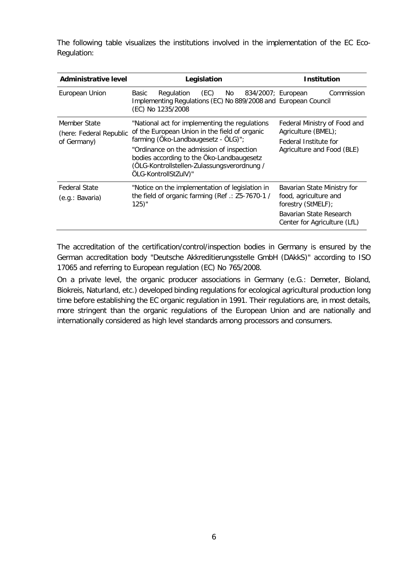The following table visualizes the institutions involved in the implementation of the EC Eco-Regulation:

| <b>Administrative level</b> | Legislation                                                                                                                                                   | <b>Institution</b>                                      |
|-----------------------------|---------------------------------------------------------------------------------------------------------------------------------------------------------------|---------------------------------------------------------|
| European Union              | (EC)<br>Regulation<br>No<br>834/2007; European<br>Basic<br>Implementing Regulations (EC) No 889/2008 and European Council<br>(EC) No 1235/2008                | Commission                                              |
| Member State                | "National act for implementing the regulations                                                                                                                | Federal Ministry of Food and                            |
| (here: Federal Republic     | of the European Union in the field of organic<br>farming (Öko-Landbaugesetz - ÖLG)";                                                                          | Agriculture (BMEL);<br>Federal Institute for            |
| of Germany)                 | "Ordinance on the admission of inspection<br>bodies according to the Öko-Landbaugesetz<br>(ÖLG-Kontrollstellen-Zulassungsverordnung /<br>ÖLG-KontrollStZulV)" | Agriculture and Food (BLE)                              |
| <b>Federal State</b>        | "Notice on the implementation of legislation in<br>the field of organic farming (Ref.: Z5-7670-1 /<br>125)"                                                   | Bavarian State Ministry for                             |
| (e.g.: Bavaria)             |                                                                                                                                                               | food, agriculture and<br>forestry (StMELF);             |
|                             |                                                                                                                                                               | Bavarian State Research<br>Center for Agriculture (LfL) |

The accreditation of the certification/control/inspection bodies in Germany is ensured by the German accreditation body "Deutsche Akkreditierungsstelle GmbH (DAkkS)" according to ISO 17065 and referring to European regulation (EC) No 765/2008.

On a private level, the organic producer associations in Germany (e.G.: Demeter, Bioland, Biokreis, Naturland, etc.) developed binding regulations for ecological agricultural production long time before establishing the EC organic regulation in 1991. Their regulations are, in most details, more stringent than the organic regulations of the European Union and are nationally and internationally considered as high level standards among processors and consumers.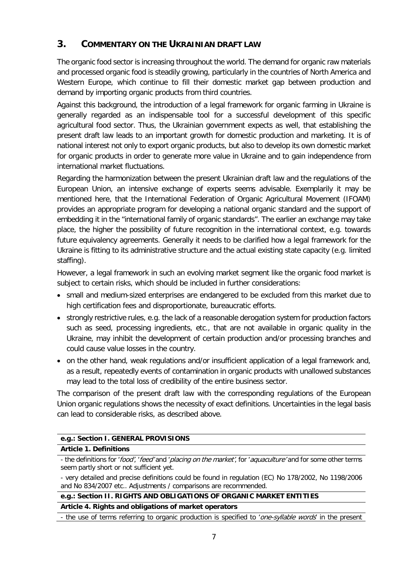# <span id="page-6-0"></span>**3. COMMENTARY ON THE UKRAINIAN DRAFT LAW**

The organic food sector is increasing throughout the world. The demand for organic raw materials and processed organic food is steadily growing, particularly in the countries of North America and Western Europe, which continue to fill their domestic market gap between production and demand by importing organic products from third countries.

Against this background, the introduction of a legal framework for organic farming in Ukraine is generally regarded as an indispensable tool for a successful development of this specific agricultural food sector. Thus, the Ukrainian government expects as well, that establishing the present draft law leads to an important growth for domestic production and marketing. It is of national interest not only to export organic products, but also to develop its own domestic market for organic products in order to generate more value in Ukraine and to gain independence from international market fluctuations.

Regarding the harmonization between the present Ukrainian draft law and the regulations of the European Union, an intensive exchange of experts seems advisable. Exemplarily it may be mentioned here, that the International Federation of Organic Agricultural Movement (IFOAM) provides an appropriate program for developing a national organic standard and the support of embedding it in the "international family of organic standards". The earlier an exchange may take place, the higher the possibility of future recognition in the international context, e.g. towards future equivalency agreements. Generally it needs to be clarified how a legal framework for the Ukraine is fitting to its administrative structure and the actual existing state capacity (e.g. limited staffing).

However, a legal framework in such an evolving market segment like the organic food market is subject to certain risks, which should be included in further considerations:

- small and medium-sized enterprises are endangered to be excluded from this market due to high certification fees and disproportionate, bureaucratic efforts.
- strongly restrictive rules, e.g. the lack of a reasonable derogation system for production factors such as seed, processing ingredients, etc., that are not available in organic quality in the Ukraine, may inhibit the development of certain production and/or processing branches and could cause value losses in the country.
- on the other hand, weak regulations and/or insufficient application of a legal framework and, as a result, repeatedly events of contamination in organic products with unallowed substances may lead to the total loss of credibility of the entire business sector.

The comparison of the present draft law with the corresponding regulations of the European Union organic regulations shows the necessity of exact definitions. Uncertainties in the legal basis can lead to considerable risks, as described above.

# **e.g.: Section I. GENERAL PROVISIONS**

# **Article 1. Definitions**

- the definitions for 'food', 'feed' and 'placing on the market', for 'aquaculture' and for some other terms seem partly short or not sufficient yet.

## **e.g.: Section II. RIGHTS AND OBLIGATIONS OF ORGANIC MARKET ENTITIES**

**Article 4. Rights and obligations of market operators**

- the use of terms referring to organic production is specified to 'one-syllable words' in the present

<sup>-</sup> very detailed and precise definitions could be found in regulation (EC) No 178/2002, No 1198/2006 and No 834/2007 etc.. Adjustments / comparisons are recommended.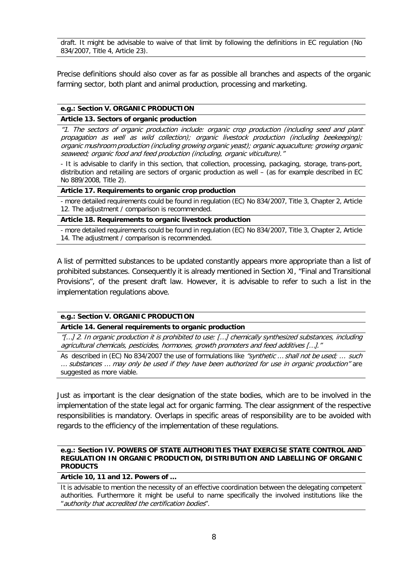draft. It might be advisable to waive of that limit by following the definitions in EC regulation (No 834/2007, Title 4, Article 23).

Precise definitions should also cover as far as possible all branches and aspects of the organic farming sector, both plant and animal production, processing and marketing.

## **e.g.: Section V. ORGANIC PRODUCTION**

## **Article 13. Sectors of organic production**

"1. The sectors of organic production include: organic crop production (including seed and plant propagation as well as wild collection); organic livestock production (including beekeeping); organic mushroom production (including growing organic yeast); organic aquaculture; growing organic seaweed; organic food and feed production (including, organic viticulture)."

- It is advisable to clarify in this section, that collection, processing, packaging, storage, trans-port, distribution and retailing are sectors of organic production as well – (as for example described in EC No 889/2008, Title 2).

#### **Article 17. Requirements to organic crop production**

- more detailed requirements could be found in regulation (EC) No 834/2007, Title 3, Chapter 2, Article 12. The adjustment / comparison is recommended.

#### **Article 18. Requirements to organic livestock production**

- more detailed requirements could be found in regulation (EC) No 834/2007, Title 3, Chapter 2, Article 14. The adjustment / comparison is recommended.

A list of permitted substances to be updated constantly appears more appropriate than a list of prohibited substances. Consequently it is already mentioned in Section XI, "Final and Transitional Provisions", of the present draft law. However, it is advisable to refer to such a list in the implementation regulations above.

## **e.g.: Section V. ORGANIC PRODUCTION**

**Article 14. General requirements to organic production**

"[…] 2. In organic production it is prohibited to use: […] chemically synthesized substances, including agricultural chemicals, pesticides, hormones, growth promoters and feed additives […]."

As described in (EC) No 834/2007 the use of formulations like "synthetic ... shall not be used; ... such … substances … may only be used if they have been authorized for use in organic production" are suggested as more viable.

Just as important is the clear designation of the state bodies, which are to be involved in the implementation of the state legal act for organic farming. The clear assignment of the respective responsibilities is mandatory. Overlaps in specific areas of responsibility are to be avoided with regards to the efficiency of the implementation of these regulations.

#### **e.g.: Section IV. POWERS OF STATE AUTHORITIES THAT EXERCISE STATE CONTROL AND REGULATION IN ORGANIC PRODUCTION, DISTRIBUTION AND LABELLING OF ORGANIC PRODUCTS**

#### **Article 10, 11 and 12. Powers of …**

It is advisable to mention the necessity of an effective coordination between the delegating competent authorities. Furthermore it might be useful to name specifically the involved institutions like the "authority that accredited the certification bodies".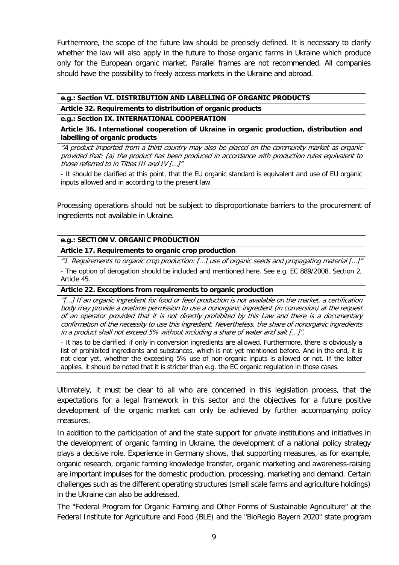Furthermore, the scope of the future law should be precisely defined. It is necessary to clarify whether the law will also apply in the future to those organic farms in Ukraine which produce only for the European organic market. Parallel frames are not recommended. All companies should have the possibility to freely access markets in the Ukraine and abroad.

#### **e.g.: Section VІ. DISTRIBUTION AND LABELLING OF ORGANIC PRODUCTS**

**Article 32. Requirements to distribution of organic products** 

## **e.g.: Section ІX. INTERNATIONAL COOPERATION**

**Article 36. International cooperation of Ukraine in organic production, distribution and labelling of organic products**

"A product imported from a third country may also be placed on the community market as organic provided that: (a) the product has been produced in accordance with production rules equivalent to those referred to in Titles III and IV […]"

- It should be clarified at this point, that the EU organic standard is equivalent and use of EU organic inputs allowed and in according to the present law.

Processing operations should not be subject to disproportionate barriers to the procurement of ingredients not available in Ukraine.

## **e.g.: SECTION V. ORGANIC PRODUCTION**

**Article 17. Requirements to organic crop production**

"1. Requirements to organic crop production: […] use of organic seeds and propagating material […]" - The option of derogation should be included and mentioned here. See e.g. EC 889/2008, Section 2, Article 45.

#### **Article 22. Exceptions from requirements to organic production**

"[…] If an organic ingredient for food or feed production is not available on the market, a certification body may provide a onetime permission to use a nonorganic ingredient (in conversion) at the request of an operator provided that it is not directly prohibited by this Law and there is a documentary confirmation of the necessity to use this ingredient. Nevertheless, the share of nonorganic ingredients in a product shall not exceed 5% without including a share of water and salt […]".

- It has to be clarified, if only in conversion ingredients are allowed. Furthermore, there is obviously a list of prohibited ingredients and substances, which is not yet mentioned before. And in the end, it is not clear yet, whether the exceeding 5% use of non-organic inputs is allowed or not. If the latter applies, it should be noted that it is stricter than e.g. the EC organic regulation in those cases.

Ultimately, it must be clear to all who are concerned in this legislation process, that the expectations for a legal framework in this sector and the objectives for a future positive development of the organic market can only be achieved by further accompanying policy measures.

In addition to the participation of and the state support for private institutions and initiatives in the development of organic farming in Ukraine, the development of a national policy strategy plays a decisive role. Experience in Germany shows, that supporting measures, as for example, organic research, organic farming knowledge transfer, organic marketing and awareness-raising are important impulses for the domestic production, processing, marketing and demand. Certain challenges such as the different operating structures (small scale farms and agriculture holdings) in the Ukraine can also be addressed.

The "Federal Program for Organic Farming and Other Forms of Sustainable Agriculture" at the Federal Institute for Agriculture and Food (BLE) and the "BioRegio Bayern 2020" state program